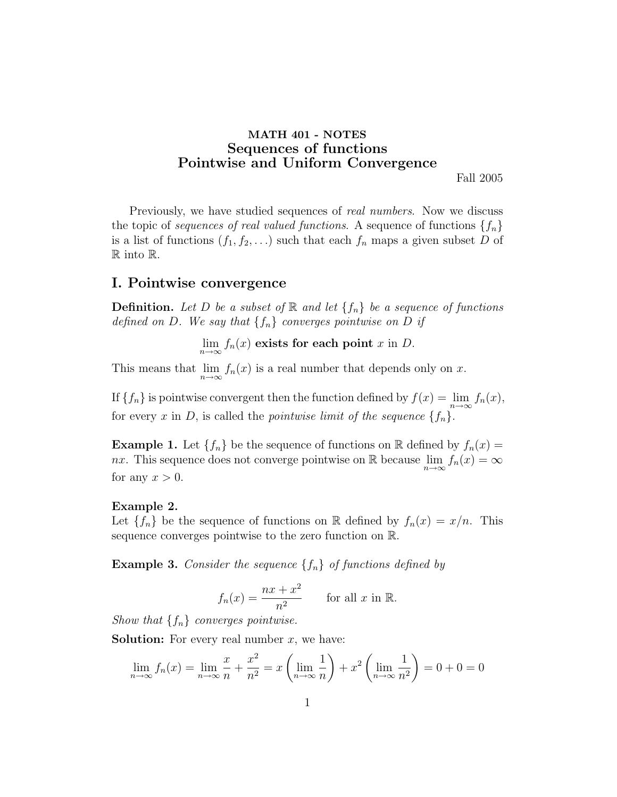# MATH 401 - NOTES Sequences of functions Pointwise and Uniform Convergence

Fall 2005

Previously, we have studied sequences of *real numbers*. Now we discuss the topic of sequences of real valued functions. A sequence of functions  $\{f_n\}$ is a list of functions  $(f_1, f_2, \ldots)$  such that each  $f_n$  maps a given subset D of R into R.

### I. Pointwise convergence

**Definition.** Let D be a subset of  $\mathbb{R}$  and let  $\{f_n\}$  be a sequence of functions defined on D. We say that  $\{f_n\}$  converges pointwise on D if

 $\lim_{n\to\infty} f_n(x)$  exists for each point x in D.

This means that  $\lim_{n\to\infty} f_n(x)$  is a real number that depends only on x.

If  ${f_n}$  is pointwise convergent then the function defined by  $f(x) = \lim_{n \to \infty} f_n(x)$ , for every x in D, is called the *pointwise limit of the sequence*  $\{f_n\}$ .

**Example 1.** Let  $\{f_n\}$  be the sequence of functions on R defined by  $f_n(x) =$ nx. This sequence does not converge pointwise on R because  $\lim_{n\to\infty} f_n(x) = \infty$ for any  $x > 0$ .

#### Example 2.

Let  $\{f_n\}$  be the sequence of functions on R defined by  $f_n(x) = x/n$ . This sequence converges pointwise to the zero function on R.

**Example 3.** Consider the sequence  $\{f_n\}$  of functions defined by

$$
f_n(x) = \frac{nx + x^2}{n^2} \quad \text{for all } x \text{ in } \mathbb{R}.
$$

Show that  $\{f_n\}$  converges pointwise.

**Solution:** For every real number  $x$ , we have:

$$
\lim_{n \to \infty} f_n(x) = \lim_{n \to \infty} \frac{x}{n} + \frac{x^2}{n^2} = x \left( \lim_{n \to \infty} \frac{1}{n} \right) + x^2 \left( \lim_{n \to \infty} \frac{1}{n^2} \right) = 0 + 0 = 0
$$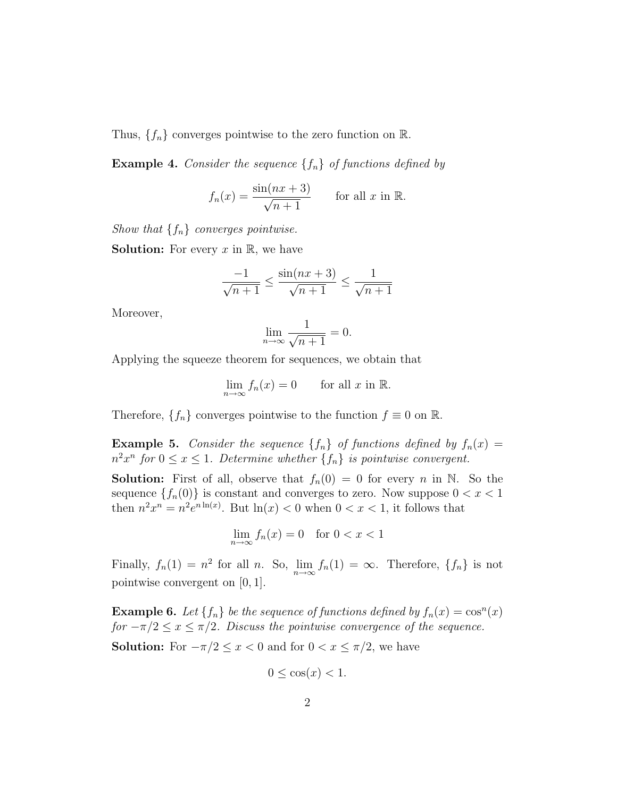Thus,  $\{f_n\}$  converges pointwise to the zero function on  $\mathbb{R}$ .

**Example 4.** Consider the sequence  $\{f_n\}$  of functions defined by

$$
f_n(x) = \frac{\sin(nx+3)}{\sqrt{n+1}} \quad \text{for all } x \text{ in } \mathbb{R}.
$$

Show that  $\{f_n\}$  converges pointwise.

**Solution:** For every  $x$  in  $\mathbb{R}$ , we have

$$
\frac{-1}{\sqrt{n+1}} \le \frac{\sin(nx+3)}{\sqrt{n+1}} \le \frac{1}{\sqrt{n+1}}
$$

Moreover,

$$
\lim_{n \to \infty} \frac{1}{\sqrt{n+1}} = 0.
$$

Applying the squeeze theorem for sequences, we obtain that

$$
\lim_{n \to \infty} f_n(x) = 0 \quad \text{for all } x \text{ in } \mathbb{R}.
$$

Therefore,  $\{f_n\}$  converges pointwise to the function  $f \equiv 0$  on  $\mathbb{R}$ .

**Example 5.** Consider the sequence  $\{f_n\}$  of functions defined by  $f_n(x) =$  $n^2x^n$  for  $0 \le x \le 1$ . Determine whether  $\{f_n\}$  is pointwise convergent.

**Solution:** First of all, observe that  $f_n(0) = 0$  for every n in N. So the sequence  $\{f_n(0)\}\$ is constant and converges to zero. Now suppose  $0 < x < 1$ then  $n^2x^n = n^2e^{n\ln(x)}$ . But  $\ln(x) < 0$  when  $0 < x < 1$ , it follows that

$$
\lim_{n \to \infty} f_n(x) = 0 \quad \text{for } 0 < x < 1
$$

Finally,  $f_n(1) = n^2$  for all n. So,  $\lim_{n \to \infty} f_n(1) = \infty$ . Therefore,  $\{f_n\}$  is not pointwise convergent on [0, 1].

**Example 6.** Let  $\{f_n\}$  be the sequence of functions defined by  $f_n(x) = \cos^n(x)$ for  $-\pi/2 \leq x \leq \pi/2$ . Discuss the pointwise convergence of the sequence.

**Solution:** For  $-\pi/2 \leq x < 0$  and for  $0 < x \leq \pi/2$ , we have

$$
0 \le \cos(x) < 1.
$$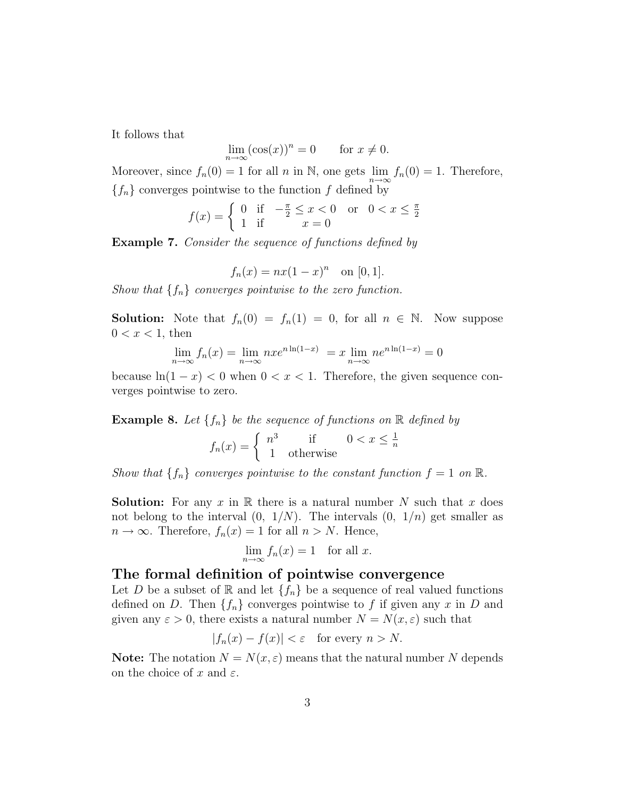It follows that

$$
\lim_{n \to \infty} (\cos(x))^n = 0 \quad \text{for } x \neq 0.
$$

Moreover, since  $f_n(0) = 1$  for all n in N, one gets  $\lim_{n \to \infty} f_n(0) = 1$ . Therefore,  ${f_n}$  converges pointwise to the function f defined by

$$
f(x) = \begin{cases} 0 & \text{if } -\frac{\pi}{2} \le x < 0 \text{ or } 0 < x \le \frac{\pi}{2} \\ 1 & \text{if } x = 0 \end{cases}
$$

Example 7. Consider the sequence of functions defined by

$$
f_n(x) = nx(1-x)^n
$$
 on [0, 1].

Show that  $\{f_n\}$  converges pointwise to the zero function.

**Solution:** Note that  $f_n(0) = f_n(1) = 0$ , for all  $n \in \mathbb{N}$ . Now suppose  $0 < x < 1$ , then

$$
\lim_{n \to \infty} f_n(x) = \lim_{n \to \infty} n x e^{n \ln(1-x)} = x \lim_{n \to \infty} n e^{n \ln(1-x)} = 0
$$

because  $\ln(1-x) < 0$  when  $0 < x < 1$ . Therefore, the given sequence converges pointwise to zero.

**Example 8.** Let  $\{f_n\}$  be the sequence of functions on  $\mathbb{R}$  defined by

$$
f_n(x) = \begin{cases} n^3 & \text{if } 0 < x \le \frac{1}{n} \\ 1 & \text{otherwise} \end{cases}
$$

Show that  $\{f_n\}$  converges pointwise to the constant function  $f = 1$  on  $\mathbb{R}$ .

**Solution:** For any x in R there is a natural number N such that x does not belong to the interval  $(0, 1/N)$ . The intervals  $(0, 1/n)$  get smaller as  $n \to \infty$ . Therefore,  $f_n(x) = 1$  for all  $n > N$ . Hence,

$$
\lim_{n \to \infty} f_n(x) = 1 \quad \text{for all } x.
$$

### The formal definition of pointwise convergence

Let D be a subset of R and let  $\{f_n\}$  be a sequence of real valued functions defined on D. Then  $\{f_n\}$  converges pointwise to f if given any x in D and given any  $\varepsilon > 0$ , there exists a natural number  $N = N(x, \varepsilon)$  such that

$$
|f_n(x) - f(x)| < \varepsilon \quad \text{for every } n > N.
$$

**Note:** The notation  $N = N(x, \varepsilon)$  means that the natural number N depends on the choice of x and  $\varepsilon$ .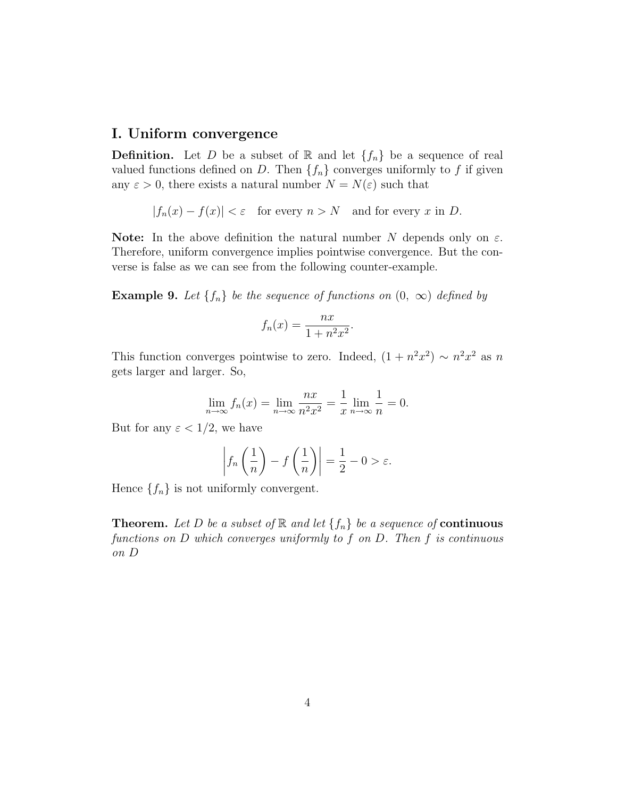# I. Uniform convergence

**Definition.** Let D be a subset of R and let  $\{f_n\}$  be a sequence of real valued functions defined on D. Then  $\{f_n\}$  converges uniformly to f if given any  $\varepsilon > 0$ , there exists a natural number  $N = N(\varepsilon)$  such that

 $|f_n(x) - f(x)| < \varepsilon$  for every  $n > N$  and for every x in D.

**Note:** In the above definition the natural number N depends only on  $\varepsilon$ . Therefore, uniform convergence implies pointwise convergence. But the converse is false as we can see from the following counter-example.

**Example 9.** Let  $\{f_n\}$  be the sequence of functions on  $(0, \infty)$  defined by

$$
f_n(x) = \frac{nx}{1 + n^2 x^2}.
$$

This function converges pointwise to zero. Indeed,  $(1 + n^2x^2) \sim n^2x^2$  as n gets larger and larger. So,

$$
\lim_{n \to \infty} f_n(x) = \lim_{n \to \infty} \frac{nx}{n^2 x^2} = \frac{1}{x} \lim_{n \to \infty} \frac{1}{n} = 0.
$$

But for any  $\varepsilon < 1/2$ , we have

$$
\left|f_n\left(\frac{1}{n}\right) - f\left(\frac{1}{n}\right)\right| = \frac{1}{2} - 0 > \varepsilon.
$$

Hence  $\{f_n\}$  is not uniformly convergent.

**Theorem.** Let D be a subset of  $\mathbb{R}$  and let  $\{f_n\}$  be a sequence of **continuous** functions on D which converges uniformly to f on D. Then f is continuous on D